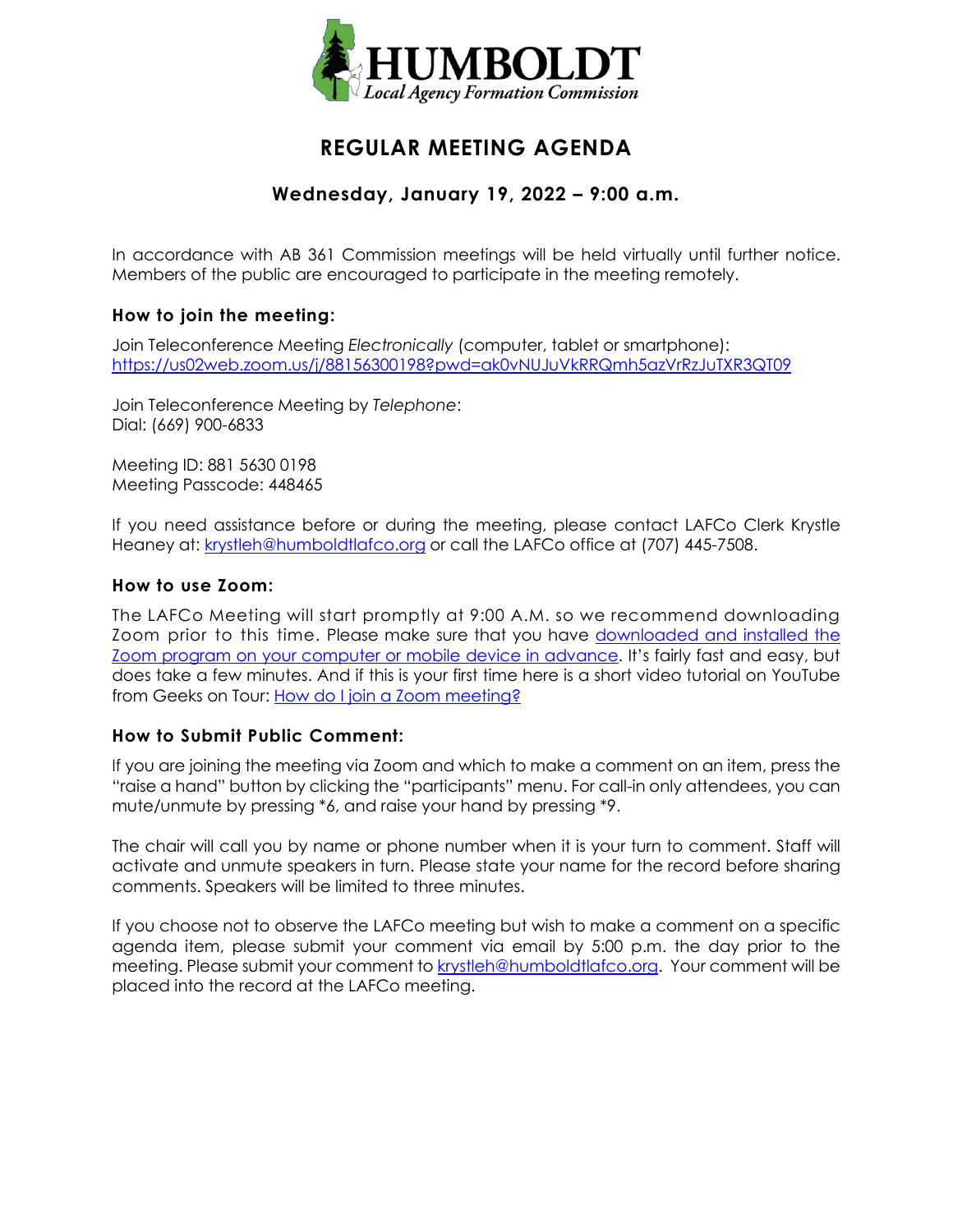

# **REGULAR MEETING AGENDA**

# **Wednesday, January 19, 2022 – 9:00 a.m.**

In accordance with AB 361 Commission meetings will be held virtually until further notice. Members of the public are encouraged to participate in the meeting remotely.

# **How to join the meeting:**

Join Teleconference Meeting *Electronically* (computer, tablet or smartphone): <https://us02web.zoom.us/j/88156300198?pwd=ak0vNUJuVkRRQmh5azVrRzJuTXR3QT09>

Join Teleconference Meeting by *Telephone*: Dial: (669) 900-6833

Meeting ID: 881 5630 0198 Meeting Passcode: 448465

If you need assistance before or during the meeting, please contact LAFCo Clerk Krystle Heaney at: [krystleh@humboldtlafco.org](mailto:krystleh@humboldtlafco.org) or call the LAFCo office at (707) 445-7508.

### **How to use Zoom:**

The LAFCo Meeting will start promptly at 9:00 A.M. so we recommend downloading Zoom prior to this time. Please make sure that you have [downloaded and installed the](https://zoom.us/download)  [Zoom program on your computer or mobile device in advance.](https://zoom.us/download) It's fairly fast and easy, but does take a few minutes. And if this is your first time here is a short video tutorial on YouTube from Geeks on Tour: [How do I join a Zoom meeting?](https://www.youtube.com/watch?v=kh50kVaIdAY)

# **How to Submit Public Comment:**

If you are joining the meeting via Zoom and which to make a comment on an item, press the "raise a hand" button by clicking the "participants" menu. For call-in only attendees, you can mute/unmute by pressing \*6, and raise your hand by pressing \*9.

The chair will call you by name or phone number when it is your turn to comment. Staff will activate and unmute speakers in turn. Please state your name for the record before sharing comments. Speakers will be limited to three minutes.

If you choose not to observe the LAFCo meeting but wish to make a comment on a specific agenda item, please submit your comment via email by 5:00 p.m. the day prior to the meeting. Please submit your comment to [krystleh@humboldtlafco.org.](mailto:krystleh@humboldtlafco.org) Your comment will be placed into the record at the LAFCo meeting.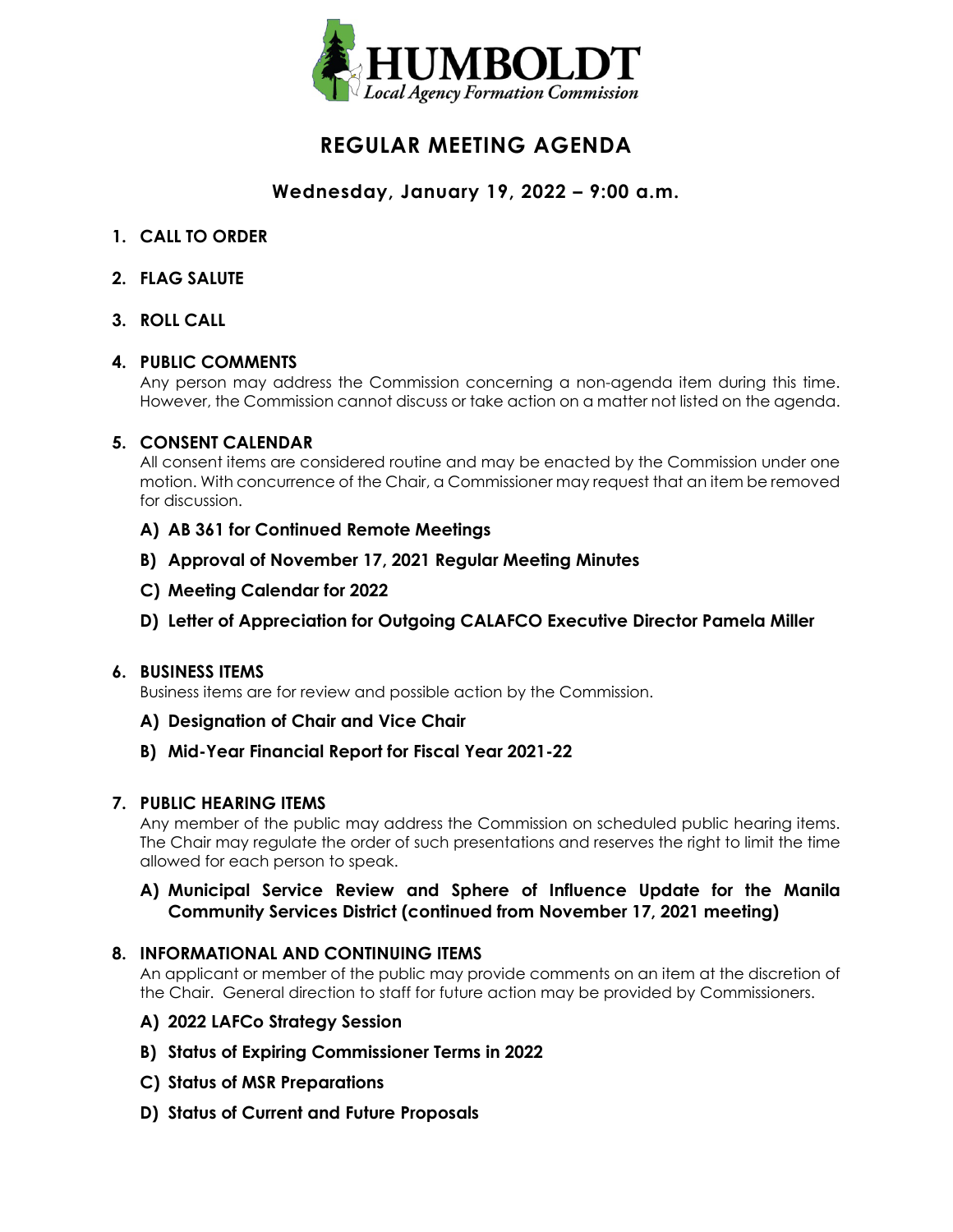

# **REGULAR MEETING AGENDA**

# **Wednesday, January 19, 2022 – 9:00 a.m.**

- **1. CALL TO ORDER**
- **2. FLAG SALUTE**
- **3. ROLL CALL**

# **4. PUBLIC COMMENTS**

Any person may address the Commission concerning a non-agenda item during this time. However, the Commission cannot discuss or take action on a matter not listed on the agenda.

# **5. CONSENT CALENDAR**

All consent items are considered routine and may be enacted by the Commission under one motion. With concurrence of the Chair, a Commissioner may request that an item be removed for discussion.

- **A) AB 361 for Continued Remote Meetings**
- **B) Approval of November 17, 2021 Regular Meeting Minutes**
- **C) Meeting Calendar for 2022**
- **D) Letter of Appreciation for Outgoing CALAFCO Executive Director Pamela Miller**

#### **6. BUSINESS ITEMS**

Business items are for review and possible action by the Commission.

- **A) Designation of Chair and Vice Chair**
- **B) Mid-Year Financial Report for Fiscal Year 2021-22**

#### **7. PUBLIC HEARING ITEMS**

Any member of the public may address the Commission on scheduled public hearing items. The Chair may regulate the order of such presentations and reserves the right to limit the time allowed for each person to speak.

# **A) Municipal Service Review and Sphere of Influence Update for the Manila Community Services District (continued from November 17, 2021 meeting)**

# **8. INFORMATIONAL AND CONTINUING ITEMS**

An applicant or member of the public may provide comments on an item at the discretion of the Chair. General direction to staff for future action may be provided by Commissioners.

- **A) 2022 LAFCo Strategy Session**
- **B) Status of Expiring Commissioner Terms in 2022**
- **C) Status of MSR Preparations**
- **D) Status of Current and Future Proposals**